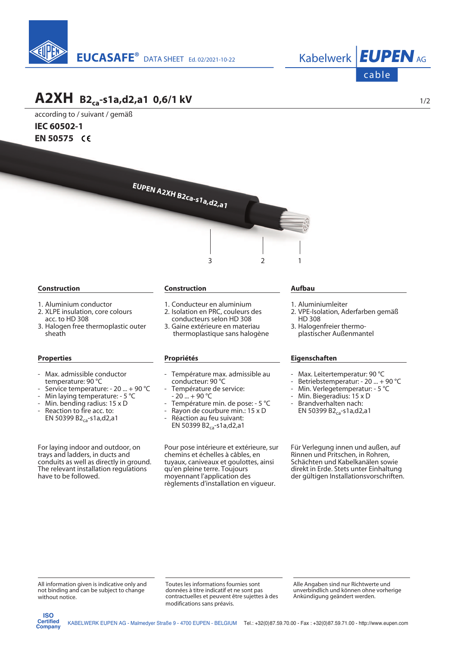



# **A2XH B2ca-s1a,d2,a1 0,6/1 kV**

according to / suivant / gemäß **IEC 60502-1 EN 50575** 



### **Construction**

- 1. Aluminium conductor
- 2. XLPE insulation, core colours acc. to HD 308
- 3. Halogen free thermoplastic outer sheath

#### **Properties**

- Max. admissible conductor temperature: 90 °C
- Service temperature: 20 ... + 90 °C
- Min laying temperature: 5 °C
- Min. bending radius: 15 x D
- Reaction to fire acc. to: EN 50399 B2<sub>ca</sub>-s1a,d2,a1

For laying indoor and outdoor, on trays and ladders, in ducts and conduits as well as directly in ground. The relevant installation regulations have to be followed.

## **Construction**

- 1. Conducteur en aluminium
- 2. Isolation en PRC, couleurs des conducteurs selon HD 308
- 3. Gaine extérieure en materiau thermoplastique sans halogène

#### **Propriétés**

- Température max. admissible au conducteur: 90 °C
- Température de service:  $20 \dots + 90$  °C
- Température min. de pose: 5 °C
- Rayon de courbure min.: 15 x D
- Réaction au feu suivant: EN 50399  $B2_{ca}$ -s1a,d2,a1

Pour pose intérieure et extérieure, sur chemins et échelles à câbles, en tuyaux, caniveaux et goulottes, ainsi qu'en pleine terre. Toujours moyennant l'application des règlements d'installation en vigueur.

#### **Aufbau**

- 1. Aluminiumleiter
- 2. VPE-Isolation, Aderfarben gemäß HD 308
- 3. Halogenfreier thermo plastischer Außenmantel

# **Eigenschaften**

- Max. Leitertemperatur: 90 °C
- Betriebstemperatur: 20 ... + 90 °C
- Min. Verlegetemperatur: 5 °C
- Min. Biegeradius: 15 x D
- Brandverhalten nach: EN 50399  $B2_{ca}$ -s1a,d2,a1

Für Verlegung innen und außen, auf Rinnen und Pritschen, in Rohren, Schächten und Kabelkanälen sowie direkt in Erde. Stets unter Einhaltung der gültigen Installationsvorschriften.

All information given is indicative only and not binding and can be subject to change without notice.

Toutes les informations fournies sont données à titre indicatif et ne sont pas contractuelles et peuvent être sujettes à des modifications sans préavis.

Alle Angaben sind nur Richtwerte und unverbindlich und können ohne vorherige Ankündigung geändert werden.